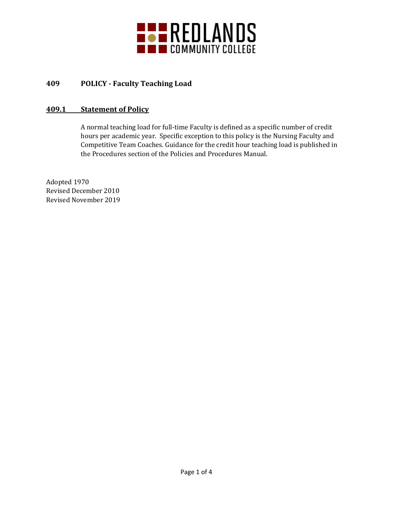

# **409 POLICY - Faculty Teaching Load**

### **409.1 Statement of Policy**

A normal teaching load for full-time Faculty is defined as a specific number of credit hours per academic year. Specific exception to this policy is the Nursing Faculty and Competitive Team Coaches. Guidance for the credit hour teaching load is published in the Procedures section of the Policies and Procedures Manual.

Adopted 1970 Revised December 2010 Revised November 2019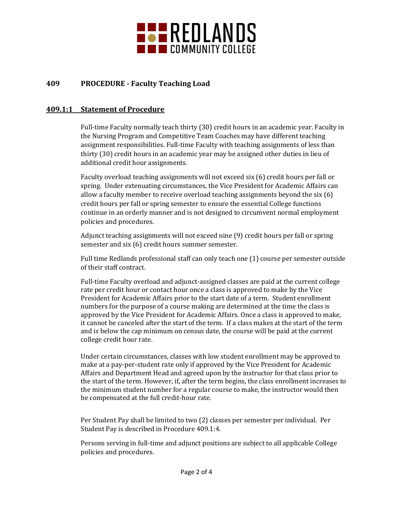

## **409 PROCEDURE - Faculty Teaching Load**

#### **409.1:1 Statement of Procedure**

Full-time Faculty normally teach thirty (30) credit hours in an academic year. Faculty in the Nursing Program and Competitive Team Coaches may have different teaching assignment responsibilities. Full-time Faculty with teaching assignments of less than thirty (30) credit hours in an academic year may be assigned other duties in lieu of additional credit hour assignments.

Faculty overload teaching assignments will not exceed six (6) credit hours per fall or spring. Under extenuating circumstances, the Vice President for Academic Affairs can allow a faculty member to receive overload teaching assignments beyond the six (6) credit hours per fall or spring semester to ensure the essential College functions continue in an orderly manner and is not designed to circumvent normal employment policies and procedures.

Adjunct teaching assignments will not exceed nine (9) credit hours per fall or spring semester and six (6) credit hours summer semester.

Full time Redlands professional staff can only teach one (1) course per semester outside of their staff contract.

Full-time Faculty overload and adjunct-assigned classes are paid at the current college rate per credit hour or contact hour once a class is approved to make by the Vice President for Academic Affairs prior to the start date of a term. Student enrollment numbers for the purpose of a course making are determined at the time the class is approved by the Vice President for Academic Affairs. Once a class is approved to make, it cannot be canceled after the start of the term. If a class makes at the start of the term and is below the cap minimum on census date, the course will be paid at the current college credit hour rate.

Under certain circumstances, classes with low student enrollment may be approved to make at a pay-per-student rate only if approved by the Vice President for Academic Affairs and Department Head and agreed upon by the instructor for that class prior to the start of the term. However, if, after the term begins, the class enrollment increases to the minimum student number for a regular course to make, the instructor would then be compensated at the full credit-hour rate.

Per Student Pay shall be limited to two (2) classes per semester per individual. Per Student Pay is described in Procedure 409.1:4.

Persons serving in full-time and adjunct positions are subject to all applicable College policies and procedures.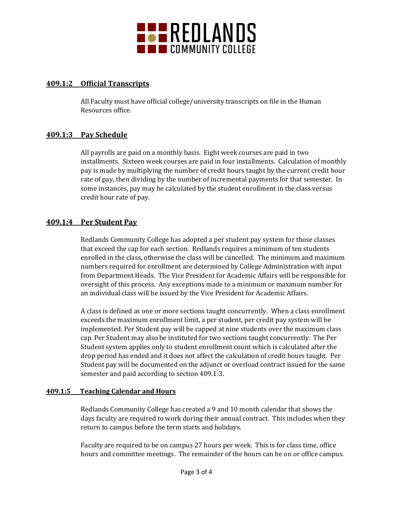

### **409.1:2 Official Transcripts**

All Faculty must have official college/university transcripts on file in the Human Resources office.

#### **409.1:3 Pay Schedule**

All payrolls are paid on a monthly basis. Eight week courses are paid in two installments. Sixteen week courses are paid in four installments. Calculation of monthly pay is made by multiplying the number of credit hours taught by the current credit hour rate of pay, then dividing by the number of incremental payments for that semester. In some instances, pay may be calculated by the student enrollment in the class versus credit hour rate of pay.

#### **409.1:4 Per Student Pay**

Redlands Community College has adopted a per student pay system for those classes that exceed the cap for each section. Redlands requires a minimum of ten students enrolled in the class, otherwise the class will be cancelled. The minimum and maximum numbers required for enrollment are determined by College Administration with input from Department Heads. The Vice President for Academic Affairs will be responsible for oversight of this process. Any exceptions made to a minimum or maximum number for an individual class will be issued by the Vice President for Academic Affairs.

A class is defined as one or more sections taught concurrently. When a class enrollment exceeds the maximum enrollment limit, a per student, per credit pay system will be implemented. Per Student pay will be capped at nine students over the maximum class cap. Per Student may also be instituted for two sections taught concurrently. The Per Student system applies only to student enrollment count which is calculated after the drop period has ended and it does not affect the calculation of credit hours taught. Per Student pay will be documented on the adjunct or overload contract issued for the same semester and paid according to section 409.1:3.

#### **409.1:5 Teaching Calendar and Hours**

Redlands Community College has created a 9 and 10 month calendar that shows the days faculty are required to work during their annual contract. This includes when they return to campus before the term starts and holidays.

Faculty are required to be on campus 27 hours per week. This is for class time, office hours and committee meetings. The remainder of the hours can be on or office campus.